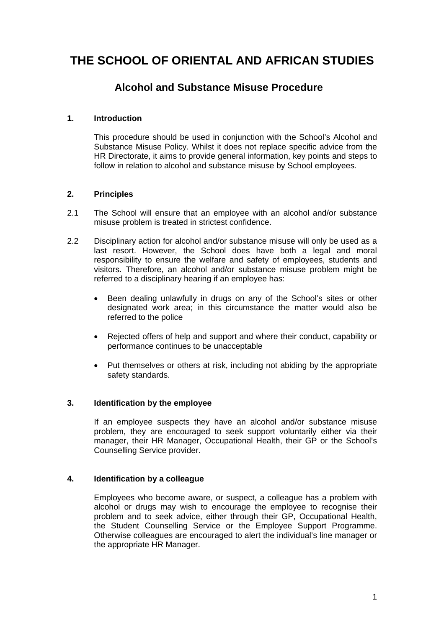# **THE SCHOOL OF ORIENTAL AND AFRICAN STUDIES**

### **Alcohol and Substance Misuse Procedure**

#### **1. Introduction**

This procedure should be used in conjunction with the School's Alcohol and Substance Misuse Policy. Whilst it does not replace specific advice from the HR Directorate, it aims to provide general information, key points and steps to follow in relation to alcohol and substance misuse by School employees.

#### **2. Principles**

- 2.1 The School will ensure that an employee with an alcohol and/or substance misuse problem is treated in strictest confidence.
- 2.2 Disciplinary action for alcohol and/or substance misuse will only be used as a last resort. However, the School does have both a legal and moral responsibility to ensure the welfare and safety of employees, students and visitors. Therefore, an alcohol and/or substance misuse problem might be referred to a disciplinary hearing if an employee has:
	- Been dealing unlawfully in drugs on any of the School's sites or other designated work area; in this circumstance the matter would also be referred to the police
	- Rejected offers of help and support and where their conduct, capability or performance continues to be unacceptable
	- Put themselves or others at risk, including not abiding by the appropriate safety standards.

#### **3. Identification by the employee**

If an employee suspects they have an alcohol and/or substance misuse problem, they are encouraged to seek support voluntarily either via their manager, their HR Manager, Occupational Health, their GP or the School's Counselling Service provider.

#### **4. Identification by a colleague**

Employees who become aware, or suspect, a colleague has a problem with alcohol or drugs may wish to encourage the employee to recognise their problem and to seek advice, either through their GP, Occupational Health, the Student Counselling Service or the Employee Support Programme. Otherwise colleagues are encouraged to alert the individual's line manager or the appropriate HR Manager.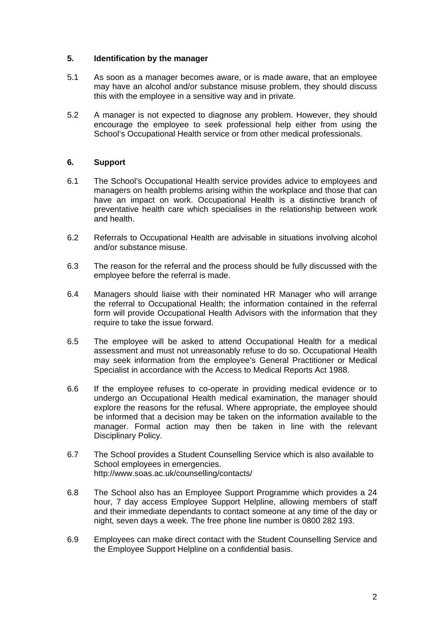#### **5. Identification by the manager**

- 5.1 As soon as a manager becomes aware, or is made aware, that an employee may have an alcohol and/or substance misuse problem, they should discuss this with the employee in a sensitive way and in private.
- 5.2 A manager is not expected to diagnose any problem. However, they should encourage the employee to seek professional help either from using the School's Occupational Health service or from other medical professionals.

#### **6. Support**

- 6.1 The School's Occupational Health service provides advice to employees and managers on health problems arising within the workplace and those that can have an impact on work. Occupational Health is a distinctive branch of preventative health care which specialises in the relationship between work and health.
- 6.2 Referrals to Occupational Health are advisable in situations involving alcohol and/or substance misuse.
- 6.3 The reason for the referral and the process should be fully discussed with the employee before the referral is made.
- 6.4 Managers should liaise with their nominated HR Manager who will arrange the referral to Occupational Health; the information contained in the referral form will provide Occupational Health Advisors with the information that they require to take the issue forward.
- 6.5 The employee will be asked to attend Occupational Health for a medical assessment and must not unreasonably refuse to do so. Occupational Health may seek information from the employee's General Practitioner or Medical Specialist in accordance with the Access to Medical Reports Act 1988.
- 6.6 If the employee refuses to co-operate in providing medical evidence or to undergo an Occupational Health medical examination, the manager should explore the reasons for the refusal. Where appropriate, the employee should be informed that a decision may be taken on the information available to the manager. Formal action may then be taken in line with the relevant Disciplinary Policy.
- 6.7 The School provides a Student Counselling Service which is also available to School employees in emergencies. http://www.soas.ac.uk/counselling/contacts/
- 6.8 The School also has an Employee Support Programme which provides a 24 hour, 7 day access Employee Support Helpline, allowing members of staff and their immediate dependants to contact someone at any time of the day or night, seven days a week. The free phone line number is 0800 282 193.
- 6.9 Employees can make direct contact with the Student Counselling Service and the Employee Support Helpline on a confidential basis.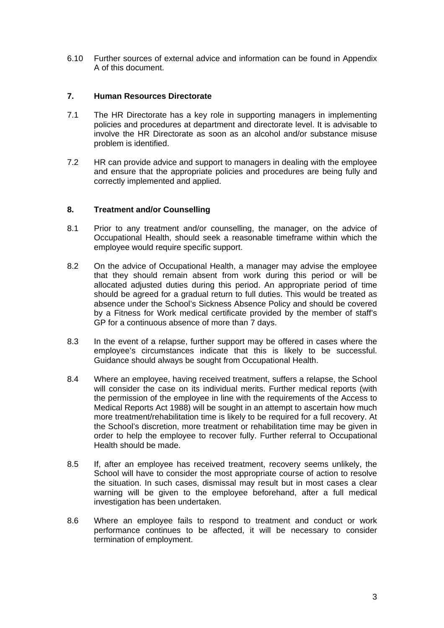6.10 Further sources of external advice and information can be found in Appendix A of this document.

#### **7. Human Resources Directorate**

- 7.1 The HR Directorate has a key role in supporting managers in implementing policies and procedures at department and directorate level. It is advisable to involve the HR Directorate as soon as an alcohol and/or substance misuse problem is identified.
- 7.2 HR can provide advice and support to managers in dealing with the employee and ensure that the appropriate policies and procedures are being fully and correctly implemented and applied.

#### **8. Treatment and/or Counselling**

- 8.1 Prior to any treatment and/or counselling, the manager, on the advice of Occupational Health, should seek a reasonable timeframe within which the employee would require specific support.
- 8.2 On the advice of Occupational Health, a manager may advise the employee that they should remain absent from work during this period or will be allocated adjusted duties during this period. An appropriate period of time should be agreed for a gradual return to full duties. This would be treated as absence under the School's Sickness Absence Policy and should be covered by a Fitness for Work medical certificate provided by the member of staff's GP for a continuous absence of more than 7 days.
- 8.3 In the event of a relapse, further support may be offered in cases where the employee's circumstances indicate that this is likely to be successful. Guidance should always be sought from Occupational Health.
- 8.4 Where an employee, having received treatment, suffers a relapse, the School will consider the case on its individual merits. Further medical reports (with the permission of the employee in line with the requirements of the Access to Medical Reports Act 1988) will be sought in an attempt to ascertain how much more treatment/rehabilitation time is likely to be required for a full recovery. At the School's discretion, more treatment or rehabilitation time may be given in order to help the employee to recover fully. Further referral to Occupational Health should be made.
- 8.5 If, after an employee has received treatment, recovery seems unlikely, the School will have to consider the most appropriate course of action to resolve the situation. In such cases, dismissal may result but in most cases a clear warning will be given to the employee beforehand, after a full medical investigation has been undertaken.
- 8.6 Where an employee fails to respond to treatment and conduct or work performance continues to be affected, it will be necessary to consider termination of employment.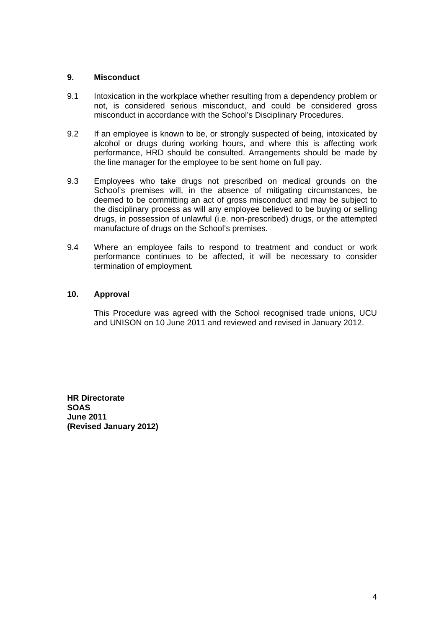#### **9. Misconduct**

- 9.1 Intoxication in the workplace whether resulting from a dependency problem or not, is considered serious misconduct, and could be considered gross misconduct in accordance with the School's Disciplinary Procedures.
- 9.2 If an employee is known to be, or strongly suspected of being, intoxicated by alcohol or drugs during working hours, and where this is affecting work performance, HRD should be consulted. Arrangements should be made by the line manager for the employee to be sent home on full pay.
- 9.3 Employees who take drugs not prescribed on medical grounds on the School's premises will, in the absence of mitigating circumstances, be deemed to be committing an act of gross misconduct and may be subject to the disciplinary process as will any employee believed to be buying or selling drugs, in possession of unlawful (i.e. non-prescribed) drugs, or the attempted manufacture of drugs on the School's premises.
- 9.4 Where an employee fails to respond to treatment and conduct or work performance continues to be affected, it will be necessary to consider termination of employment.

#### **10. Approval**

This Procedure was agreed with the School recognised trade unions, UCU and UNISON on 10 June 2011 and reviewed and revised in January 2012.

**HR Directorate SOAS June 2011 (Revised January 2012)**